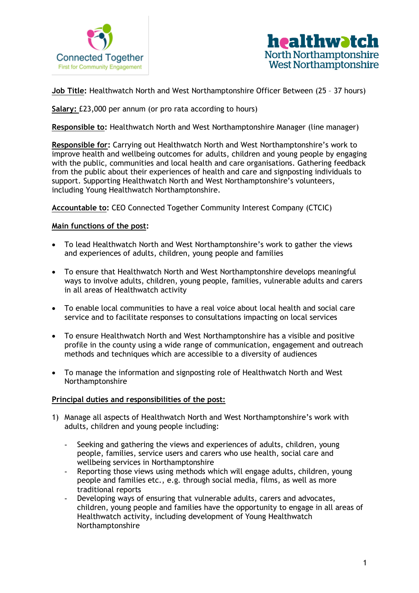



**Job Title:** Healthwatch North and West Northamptonshire Officer Between (25 – 37 hours)

**Salary:** £23,000 per annum (or pro rata according to hours)

**Responsible to:** Healthwatch North and West Northamptonshire Manager (line manager)

**Responsible for:** Carrying out Healthwatch North and West Northamptonshire's work to improve health and wellbeing outcomes for adults, children and young people by engaging with the public, communities and local health and care organisations. Gathering feedback from the public about their experiences of health and care and signposting individuals to support. Supporting Healthwatch North and West Northamptonshire's volunteers, including Young Healthwatch Northamptonshire.

**Accountable to:** CEO Connected Together Community Interest Company (CTCIC)

## **Main functions of the post:**

- To lead Healthwatch North and West Northamptonshire's work to gather the views and experiences of adults, children, young people and families
- To ensure that Healthwatch North and West Northamptonshire develops meaningful ways to involve adults, children, young people, families, vulnerable adults and carers in all areas of Healthwatch activity
- To enable local communities to have a real voice about local health and social care service and to facilitate responses to consultations impacting on local services
- To ensure Healthwatch North and West Northamptonshire has a visible and positive profile in the county using a wide range of communication, engagement and outreach methods and techniques which are accessible to a diversity of audiences
- To manage the information and signposting role of Healthwatch North and West Northamptonshire

## **Principal duties and responsibilities of the post:**

- 1) Manage all aspects of Healthwatch North and West Northamptonshire's work with adults, children and young people including:
	- Seeking and gathering the views and experiences of adults, children, young people, families, service users and carers who use health, social care and wellbeing services in Northamptonshire
	- Reporting those views using methods which will engage adults, children, young people and families etc., e.g. through social media, films, as well as more traditional reports
	- Developing ways of ensuring that vulnerable adults, carers and advocates, children, young people and families have the opportunity to engage in all areas of Healthwatch activity, including development of Young Healthwatch Northamptonshire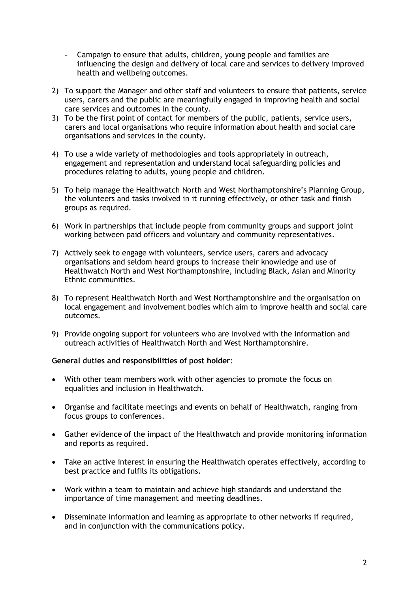- Campaign to ensure that adults, children, young people and families are influencing the design and delivery of local care and services to delivery improved health and wellbeing outcomes.
- 2) To support the Manager and other staff and volunteers to ensure that patients, service users, carers and the public are meaningfully engaged in improving health and social care services and outcomes in the county.
- 3) To be the first point of contact for members of the public, patients, service users, carers and local organisations who require information about health and social care organisations and services in the county.
- 4) To use a wide variety of methodologies and tools appropriately in outreach, engagement and representation and understand local safeguarding policies and procedures relating to adults, young people and children.
- 5) To help manage the Healthwatch North and West Northamptonshire's Planning Group, the volunteers and tasks involved in it running effectively, or other task and finish groups as required.
- 6) Work in partnerships that include people from community groups and support joint working between paid officers and voluntary and community representatives.
- 7) Actively seek to engage with volunteers, service users, carers and advocacy organisations and seldom heard groups to increase their knowledge and use of Healthwatch North and West Northamptonshire, including Black, Asian and Minority Ethnic communities.
- 8) To represent Healthwatch North and West Northamptonshire and the organisation on local engagement and involvement bodies which aim to improve health and social care outcomes.
- 9) Provide ongoing support for volunteers who are involved with the information and outreach activities of Healthwatch North and West Northamptonshire.

## **General duties and responsibilities of post holder**:

- With other team members work with other agencies to promote the focus on equalities and inclusion in Healthwatch.
- Organise and facilitate meetings and events on behalf of Healthwatch, ranging from focus groups to conferences.
- Gather evidence of the impact of the Healthwatch and provide monitoring information and reports as required.
- Take an active interest in ensuring the Healthwatch operates effectively, according to best practice and fulfils its obligations.
- Work within a team to maintain and achieve high standards and understand the importance of time management and meeting deadlines.
- Disseminate information and learning as appropriate to other networks if required, and in conjunction with the communications policy.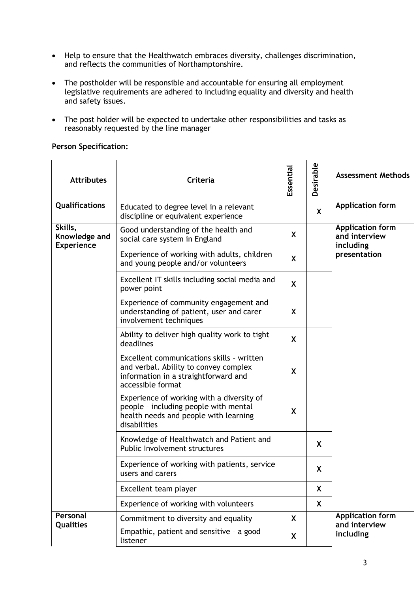- Help to ensure that the Healthwatch embraces diversity, challenges discrimination, and reflects the communities of Northamptonshire.
- The postholder will be responsible and accountable for ensuring all employment legislative requirements are adhered to including equality and diversity and health and safety issues.
- The post holder will be expected to undertake other responsibilities and tasks as reasonably requested by the line manager

## **Person Specification:**

| <b>Attributes</b>                             | <b>Criteria</b>                                                                                                                                 | Essential | Desirable | <b>Assessment Methods</b>                                             |
|-----------------------------------------------|-------------------------------------------------------------------------------------------------------------------------------------------------|-----------|-----------|-----------------------------------------------------------------------|
| Qualifications                                | Educated to degree level in a relevant<br>discipline or equivalent experience                                                                   |           | X         | <b>Application form</b>                                               |
| Skills,<br>Knowledge and<br><b>Experience</b> | Good understanding of the health and<br>social care system in England                                                                           | X         |           | <b>Application form</b><br>and interview<br>including<br>presentation |
|                                               | Experience of working with adults, children<br>and young people and/or volunteers                                                               | X         |           |                                                                       |
|                                               | Excellent IT skills including social media and<br>power point                                                                                   | X         |           |                                                                       |
|                                               | Experience of community engagement and<br>understanding of patient, user and carer<br>involvement techniques                                    | X         |           |                                                                       |
|                                               | Ability to deliver high quality work to tight<br>deadlines                                                                                      | X         |           |                                                                       |
|                                               | Excellent communications skills - written<br>and verbal. Ability to convey complex<br>information in a straightforward and<br>accessible format | X         |           |                                                                       |
|                                               | Experience of working with a diversity of<br>people - including people with mental<br>health needs and people with learning<br>disabilities     | X         |           |                                                                       |
|                                               | Knowledge of Healthwatch and Patient and<br>Public Involvement structures                                                                       |           | X         |                                                                       |
|                                               | Experience of working with patients, service<br>users and carers                                                                                |           | X         |                                                                       |
|                                               | Excellent team player                                                                                                                           |           | X         |                                                                       |
|                                               | Experience of working with volunteers                                                                                                           |           | X         |                                                                       |
| Personal<br><b>Qualities</b>                  | Commitment to diversity and equality                                                                                                            | X         |           | <b>Application form</b><br>and interview<br>including                 |
|                                               | Empathic, patient and sensitive - a good<br>listener                                                                                            | X         |           |                                                                       |